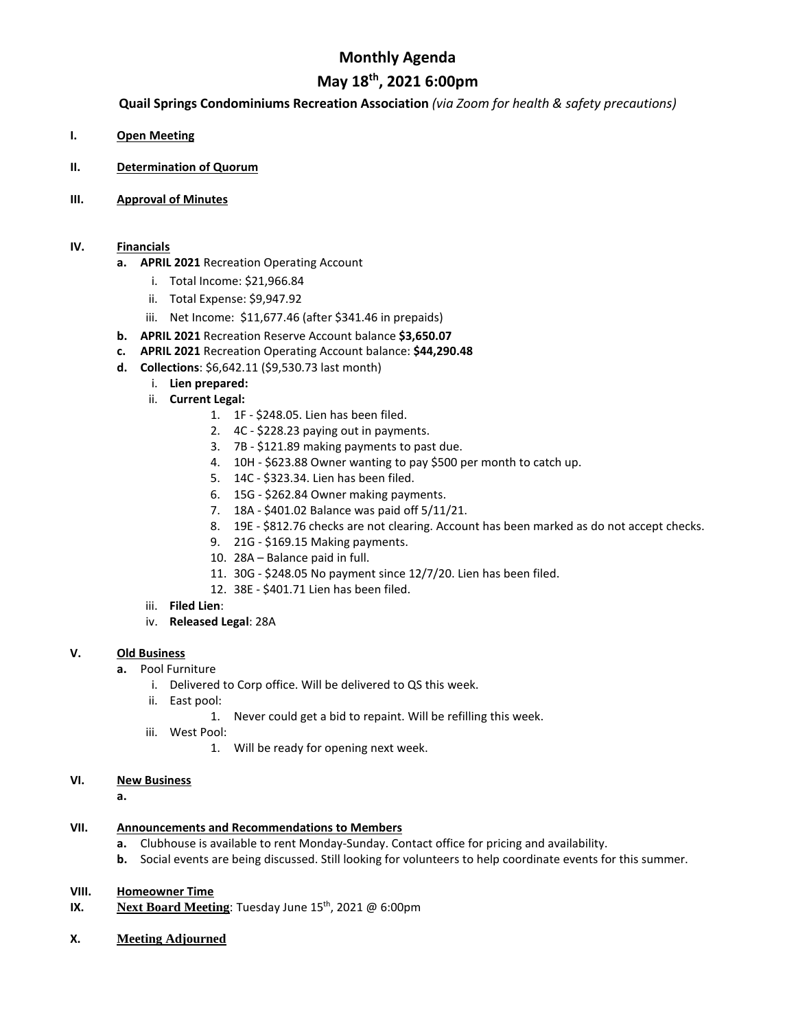## **Monthly Agenda**

## **May 18th, 2021 6:00pm**

#### **Quail Springs Condominiums Recreation Association** *(via Zoom for health & safety precautions)*

- **I. Open Meeting**
- **II. Determination of Quorum**
- **III. Approval of Minutes**

#### **IV. Financials**

- **a. APRIL 2021** Recreation Operating Account
	- i. Total Income: \$21,966.84
	- ii. Total Expense: \$9,947.92
	- iii. Net Income: \$11,677.46 (after \$341.46 in prepaids)
- **b. APRIL 2021** Recreation Reserve Account balance **\$3,650.07**
- **c. APRIL 2021** Recreation Operating Account balance: **\$44,290.48**
- **d. Collections**: \$6,642.11 (\$9,530.73 last month)
	- i. **Lien prepared:**
	- ii. **Current Legal:**
		- 1. 1F \$248.05. Lien has been filed.
		- 2. 4C \$228.23 paying out in payments.
		- 3. 7B \$121.89 making payments to past due.
		- 4. 10H \$623.88 Owner wanting to pay \$500 per month to catch up.
		- 5. 14C \$323.34. Lien has been filed.
		- 6. 15G \$262.84 Owner making payments.
		- 7. 18A \$401.02 Balance was paid off 5/11/21.
		- 8. 19E \$812.76 checks are not clearing. Account has been marked as do not accept checks.
		- 9. 21G \$169.15 Making payments.
		- 10. 28A Balance paid in full.
		- 11. 30G \$248.05 No payment since 12/7/20. Lien has been filed.
		- 12. 38E \$401.71 Lien has been filed.
	- iii. **Filed Lien**:
	- iv. **Released Legal**: 28A

#### **V. Old Business**

- **a.** Pool Furniture
	- i. Delivered to Corp office. Will be delivered to QS this week.
	- ii. East pool:
		- 1. Never could get a bid to repaint. Will be refilling this week.
	- iii. West Pool:
		- 1. Will be ready for opening next week.
- **VI. New Business**

**a.**

- **VII. Announcements and Recommendations to Members**
	- **a.** Clubhouse is available to rent Monday-Sunday. Contact office for pricing and availability.
	- **b.** Social events are being discussed. Still looking for volunteers to help coordinate events for this summer.
- **VIII. Homeowner Time**
- **IX. Next Board Meeting**: Tuesday June 15<sup>th</sup>, 2021 @ 6:00pm
- **X. Meeting Adjourned**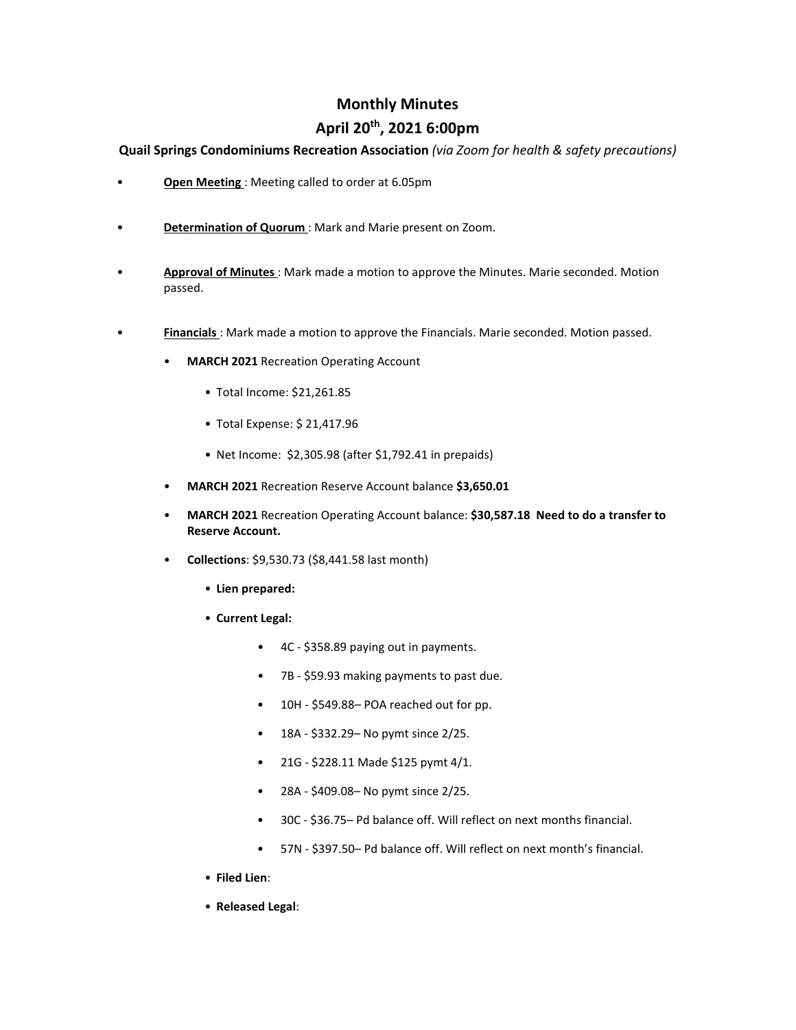### **Monthly Minutes**

## **April 20th, 2021 6:00pm**

**Quail Springs Condominiums Recreation Association** *(via Zoom for health & safety precautions)*

- **Open Meeting** : Meeting called to order at 6.05pm
- **Determination of Quorum** : Mark and Marie present on Zoom.
- **Approval of Minutes** : Mark made a motion to approve the Minutes. Marie seconded. Motion passed.
- **Financials** : Mark made a motion to approve the Financials. Marie seconded. Motion passed.
	- **MARCH 2021** Recreation Operating Account
		- Total Income: \$21,261.85
		- Total Expense: \$ 21,417.96
		- Net Income: \$2,305.98 (after \$1,792.41 in prepaids)
	- **MARCH 2021** Recreation Reserve Account balance **\$3,650.01**
	- **MARCH 2021** Recreation Operating Account balance: **\$30,587.18 Need to do a transfer to Reserve Account.**
	- **Collections**: \$9,530.73 (\$8,441.58 last month)
		- **Lien prepared:**
		- **Current Legal:**
			- 4C \$358.89 paying out in payments.
			- 7B \$59.93 making payments to past due.
			- 10H \$549.88– POA reached out for pp.
			- 18A \$332.29– No pymt since 2/25.
			- 21G \$228.11 Made \$125 pymt 4/1.
			- 28A \$409.08– No pymt since 2/25.
			- 30C \$36.75– Pd balance off. Will reflect on next months financial.
			- 57N \$397.50– Pd balance off. Will reflect on next month's financial.
		- **Filed Lien**:
		- **Released Legal**: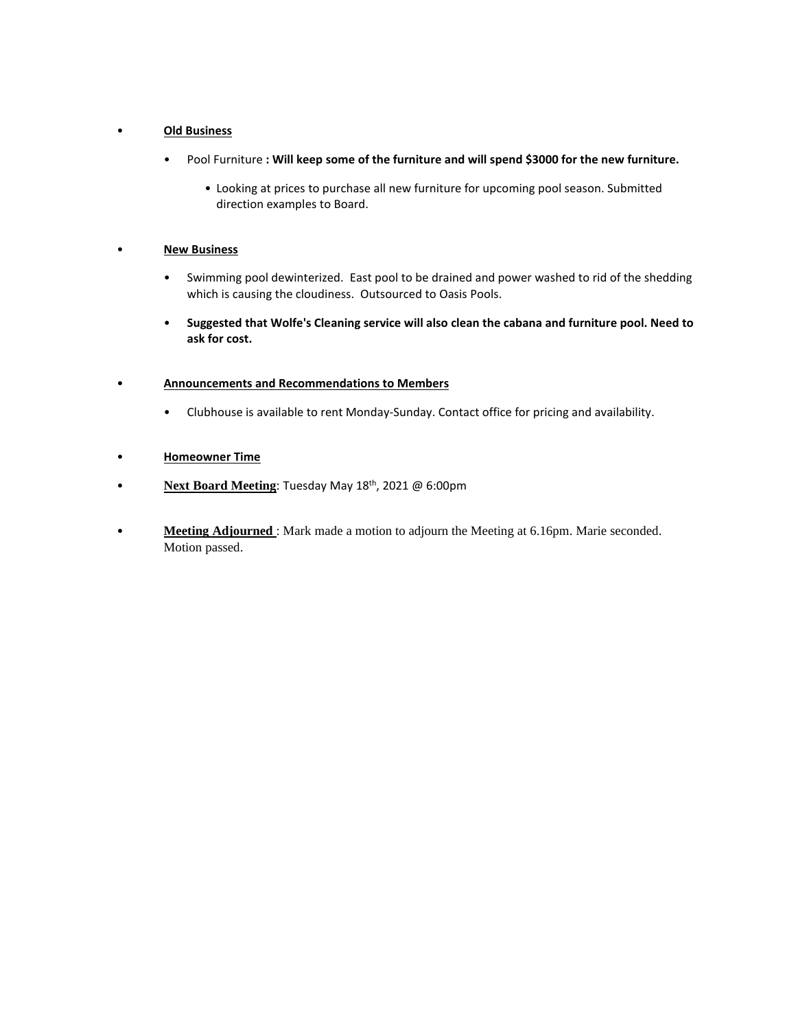#### • **Old Business**

- Pool Furniture **: Will keep some of the furniture and will spend \$3000 for the new furniture.**
	- Looking at prices to purchase all new furniture for upcoming pool season. Submitted direction examples to Board.

#### • **New Business**

- Swimming pool dewinterized. East pool to be drained and power washed to rid of the shedding which is causing the cloudiness. Outsourced to Oasis Pools.
- **Suggested that Wolfe's Cleaning service will also clean the cabana and furniture pool. Need to ask for cost.**

#### • **Announcements and Recommendations to Members**

• Clubhouse is available to rent Monday-Sunday. Contact office for pricing and availability.

#### • **Homeowner Time**

- **Next Board Meeting**: Tuesday May 18th, 2021 @ 6:00pm
- **Meeting Adjourned** : Mark made a motion to adjourn the Meeting at 6.16pm. Marie seconded. Motion passed.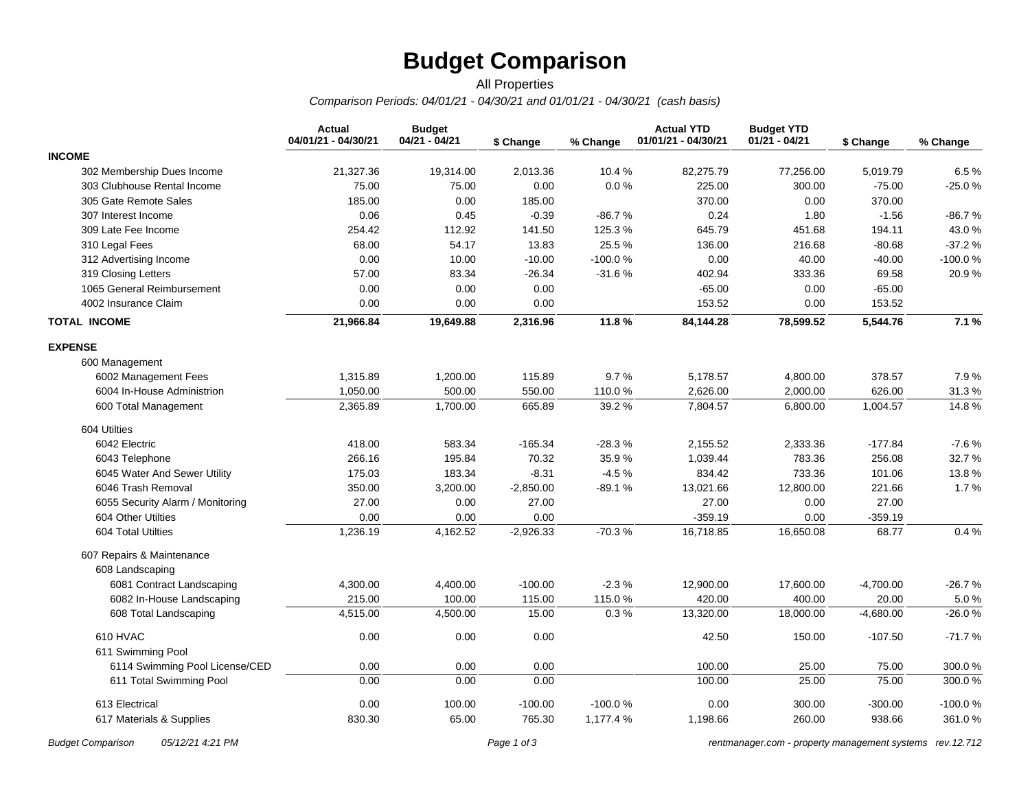# **Budget Comparison**

#### *Comparison Periods: 04/01/21 - 04/30/21 and 01/01/21 - 04/30/21 (cash basis)* All Properties

|                                  | <b>Actual</b><br>04/01/21 - 04/30/21 | <b>Budget</b><br>04/21 - 04/21 | \$ Change   | % Change  | <b>Actual YTD</b><br>01/01/21 - 04/30/21 | <b>Budget YTD</b><br>$01/21 - 04/21$ | \$ Change   | % Change |
|----------------------------------|--------------------------------------|--------------------------------|-------------|-----------|------------------------------------------|--------------------------------------|-------------|----------|
| <b>INCOME</b>                    |                                      |                                |             |           |                                          |                                      |             |          |
| 302 Membership Dues Income       | 21,327.36                            | 19,314.00                      | 2,013.36    | 10.4%     | 82,275.79                                | 77,256.00                            | 5,019.79    | 6.5%     |
| 303 Clubhouse Rental Income      | 75.00                                | 75.00                          | 0.00        | $0.0\,\%$ | 225.00                                   | 300.00                               | $-75.00$    | $-25.0%$ |
| 305 Gate Remote Sales            | 185.00                               | 0.00                           | 185.00      |           | 370.00                                   | 0.00                                 | 370.00      |          |
| 307 Interest Income              | 0.06                                 | 0.45                           | $-0.39$     | $-86.7%$  | 0.24                                     | 1.80                                 | $-1.56$     | -86.7 %  |
| 309 Late Fee Income              | 254.42                               | 112.92                         | 141.50      | 125.3%    | 645.79                                   | 451.68                               | 194.11      | 43.0%    |
| 310 Legal Fees                   | 68.00                                | 54.17                          | 13.83       | 25.5%     | 136.00                                   | 216.68                               | $-80.68$    | $-37.2%$ |
| 312 Advertising Income           | 0.00                                 | 10.00                          | $-10.00$    | $-100.0%$ | 0.00                                     | 40.00                                | $-40.00$    | -100.0%  |
| 319 Closing Letters              | 57.00                                | 83.34                          | $-26.34$    | $-31.6%$  | 402.94                                   | 333.36                               | 69.58       | 20.9%    |
| 1065 General Reimbursement       | 0.00                                 | 0.00                           | 0.00        |           | $-65.00$                                 | 0.00                                 | $-65.00$    |          |
| 4002 Insurance Claim             | 0.00                                 | 0.00                           | 0.00        |           | 153.52                                   | 0.00                                 | 153.52      |          |
| <b>TOTAL INCOME</b>              | 21,966.84                            | 19,649.88                      | 2,316.96    | 11.8%     | 84,144.28                                | 78,599.52                            | 5,544.76    | 7.1%     |
| <b>EXPENSE</b>                   |                                      |                                |             |           |                                          |                                      |             |          |
| 600 Management                   |                                      |                                |             |           |                                          |                                      |             |          |
| 6002 Management Fees             | 1,315.89                             | 1,200.00                       | 115.89      | 9.7%      | 5,178.57                                 | 4,800.00                             | 378.57      | 7.9%     |
| 6004 In-House Administrion       | 1,050.00                             | 500.00                         | 550.00      | 110.0%    | 2,626.00                                 | 2,000.00                             | 626.00      | 31.3%    |
| 600 Total Management             | 2,365.89                             | 1,700.00                       | 665.89      | 39.2%     | 7,804.57                                 | 6,800.00                             | 1,004.57    | 14.8%    |
| 604 Utilties                     |                                      |                                |             |           |                                          |                                      |             |          |
| 6042 Electric                    | 418.00                               | 583.34                         | $-165.34$   | $-28.3%$  | 2,155.52                                 | 2,333.36                             | $-177.84$   | $-7.6%$  |
| 6043 Telephone                   | 266.16                               | 195.84                         | 70.32       | 35.9%     | 1,039.44                                 | 783.36                               | 256.08      | 32.7%    |
| 6045 Water And Sewer Utility     | 175.03                               | 183.34                         | $-8.31$     | $-4.5%$   | 834.42                                   | 733.36                               | 101.06      | 13.8%    |
| 6046 Trash Removal               | 350.00                               | 3,200.00                       | $-2,850.00$ | $-89.1%$  | 13,021.66                                | 12,800.00                            | 221.66      | 1.7%     |
| 6055 Security Alarm / Monitoring | 27.00                                | 0.00                           | 27.00       |           | 27.00                                    | 0.00                                 | 27.00       |          |
| 604 Other Utilties               | 0.00                                 | 0.00                           | 0.00        |           | $-359.19$                                | 0.00                                 | $-359.19$   |          |
| 604 Total Utilties               | 1,236.19                             | 4,162.52                       | $-2,926.33$ | $-70.3%$  | 16,718.85                                | 16,650.08                            | 68.77       | 0.4%     |
| 607 Repairs & Maintenance        |                                      |                                |             |           |                                          |                                      |             |          |
| 608 Landscaping                  |                                      |                                |             |           |                                          |                                      |             |          |
| 6081 Contract Landscaping        | 4,300.00                             | 4,400.00                       | $-100.00$   | $-2.3%$   | 12,900.00                                | 17,600.00                            | $-4,700.00$ | $-26.7%$ |
| 6082 In-House Landscaping        | 215.00                               | 100.00                         | 115.00      | 115.0%    | 420.00                                   | 400.00                               | 20.00       | 5.0%     |
| 608 Total Landscaping            | 4,515.00                             | 4,500.00                       | 15.00       | 0.3%      | 13,320.00                                | 18,000.00                            | $-4,680.00$ | $-26.0%$ |
| 610 HVAC                         | 0.00                                 | 0.00                           | 0.00        |           | 42.50                                    | 150.00                               | $-107.50$   | $-71.7%$ |
| 611 Swimming Pool                |                                      |                                |             |           |                                          |                                      |             |          |
| 6114 Swimming Pool License/CED   | 0.00                                 | 0.00                           | 0.00        |           | 100.00                                   | 25.00                                | 75.00       | 300.0%   |
| 611 Total Swimming Pool          | 0.00                                 | 0.00                           | 0.00        |           | 100.00                                   | 25.00                                | 75.00       | 300.0%   |
| 613 Electrical                   | 0.00                                 | 100.00                         | $-100.00$   | $-100.0%$ | 0.00                                     | 300.00                               | $-300.00$   | -100.0%  |
| 617 Materials & Supplies         | 830.30                               | 65.00                          | 765.30      | 1,177.4 % | 1,198.66                                 | 260.00                               | 938.66      | 361.0%   |

*Budget Comparison 05/12/21 4:21 PM Page 1 of 3 [rentmanager.com - property management systems rev.12.712](http://www.rentmanager.com)*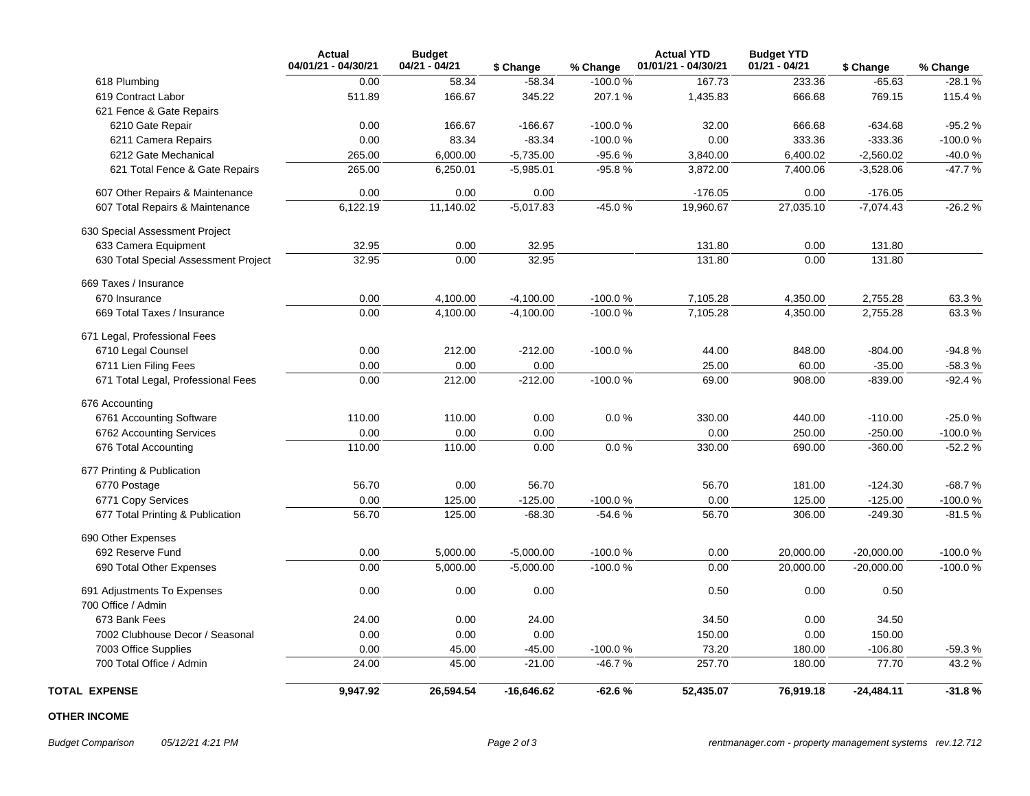|                                      | <b>Actual</b><br>04/01/21 - 04/30/21 | <b>Budget</b><br>04/21 - 04/21 | \$ Change    | % Change  | <b>Actual YTD</b><br>01/01/21 - 04/30/21 | <b>Budget YTD</b><br>$01/21 - 04/21$ | \$ Change    | % Change  |
|--------------------------------------|--------------------------------------|--------------------------------|--------------|-----------|------------------------------------------|--------------------------------------|--------------|-----------|
| 618 Plumbing                         | 0.00                                 | 58.34                          | $-58.34$     | $-100.0%$ | 167.73                                   | 233.36                               | $-65.63$     | $-28.1%$  |
| 619 Contract Labor                   | 511.89                               | 166.67                         | 345.22       | 207.1%    | 1,435.83                                 | 666.68                               | 769.15       | 115.4 %   |
| 621 Fence & Gate Repairs             |                                      |                                |              |           |                                          |                                      |              |           |
| 6210 Gate Repair                     | 0.00                                 | 166.67                         | $-166.67$    | $-100.0%$ | 32.00                                    | 666.68                               | $-634.68$    | $-95.2%$  |
| 6211 Camera Repairs                  | 0.00                                 | 83.34                          | $-83.34$     | $-100.0%$ | 0.00                                     | 333.36                               | $-333.36$    | $-100.0%$ |
| 6212 Gate Mechanical                 | 265.00                               | 6,000.00                       | $-5,735.00$  | $-95.6%$  | 3,840.00                                 | 6,400.02                             | $-2,560.02$  | $-40.0%$  |
| 621 Total Fence & Gate Repairs       | 265.00                               | 6,250.01                       | $-5,985.01$  | $-95.8%$  | 3,872.00                                 | 7,400.06                             | $-3,528.06$  | $-47.7%$  |
| 607 Other Repairs & Maintenance      | 0.00                                 | 0.00                           | 0.00         |           | $-176.05$                                | 0.00                                 | $-176.05$    |           |
| 607 Total Repairs & Maintenance      | 6,122.19                             | 11,140.02                      | $-5,017.83$  | $-45.0%$  | 19,960.67                                | 27,035.10                            | $-7,074.43$  | $-26.2%$  |
| 630 Special Assessment Project       |                                      |                                |              |           |                                          |                                      |              |           |
| 633 Camera Equipment                 | 32.95                                | 0.00                           | 32.95        |           | 131.80                                   | 0.00                                 | 131.80       |           |
| 630 Total Special Assessment Project | 32.95                                | 0.00                           | 32.95        |           | 131.80                                   | 0.00                                 | 131.80       |           |
| 669 Taxes / Insurance                |                                      |                                |              |           |                                          |                                      |              |           |
| 670 Insurance                        | 0.00                                 | 4,100.00                       | $-4,100.00$  | $-100.0%$ | 7,105.28                                 | 4,350.00                             | 2,755.28     | 63.3%     |
| 669 Total Taxes / Insurance          | 0.00                                 | 4,100.00                       | $-4,100.00$  | $-100.0%$ | 7,105.28                                 | 4,350.00                             | 2,755.28     | 63.3%     |
| 671 Legal, Professional Fees         |                                      |                                |              |           |                                          |                                      |              |           |
| 6710 Legal Counsel                   | 0.00                                 | 212.00                         | $-212.00$    | $-100.0%$ | 44.00                                    | 848.00                               | $-804.00$    | $-94.8%$  |
| 6711 Lien Filing Fees                | 0.00                                 | 0.00                           | 0.00         |           | 25.00                                    | 60.00                                | $-35.00$     | $-58.3%$  |
| 671 Total Legal, Professional Fees   | 0.00                                 | 212.00                         | $-212.00$    | $-100.0%$ | 69.00                                    | 908.00                               | $-839.00$    | $-92.4%$  |
| 676 Accounting                       |                                      |                                |              |           |                                          |                                      |              |           |
| 6761 Accounting Software             | 110.00                               | 110.00                         | 0.00         | 0.0 %     | 330.00                                   | 440.00                               | $-110.00$    | $-25.0%$  |
| 6762 Accounting Services             | 0.00                                 | 0.00                           | 0.00         |           | 0.00                                     | 250.00                               | $-250.00$    | -100.0%   |
| 676 Total Accounting                 | 110.00                               | 110.00                         | 0.00         | 0.0%      | 330.00                                   | 690.00                               | $-360.00$    | $-52.2%$  |
| 677 Printing & Publication           |                                      |                                |              |           |                                          |                                      |              |           |
| 6770 Postage                         | 56.70                                | 0.00                           | 56.70        |           | 56.70                                    | 181.00                               | $-124.30$    | $-68.7%$  |
| 6771 Copy Services                   | 0.00                                 | 125.00                         | $-125.00$    | $-100.0%$ | 0.00                                     | 125.00                               | $-125.00$    | $-100.0%$ |
| 677 Total Printing & Publication     | 56.70                                | 125.00                         | $-68.30$     | $-54.6%$  | 56.70                                    | 306.00                               | $-249.30$    | $-81.5%$  |
| 690 Other Expenses                   |                                      |                                |              |           |                                          |                                      |              |           |
| 692 Reserve Fund                     | 0.00                                 | 5,000.00                       | $-5,000.00$  | $-100.0%$ | 0.00                                     | 20,000.00                            | $-20,000.00$ | $-100.0%$ |
| 690 Total Other Expenses             | 0.00                                 | 5,000.00                       | $-5,000.00$  | $-100.0%$ | 0.00                                     | 20,000.00                            | $-20,000.00$ | $-100.0%$ |
| 691 Adjustments To Expenses          | 0.00                                 | 0.00                           | 0.00         |           | 0.50                                     | 0.00                                 | 0.50         |           |
| 700 Office / Admin                   |                                      |                                |              |           |                                          |                                      |              |           |
| 673 Bank Fees                        | 24.00                                | 0.00                           | 24.00        |           | 34.50                                    | 0.00                                 | 34.50        |           |
| 7002 Clubhouse Decor / Seasonal      | 0.00                                 | 0.00                           | 0.00         |           | 150.00                                   | 0.00                                 | 150.00       |           |
| 7003 Office Supplies                 | 0.00                                 | 45.00                          | $-45.00$     | $-100.0%$ | 73.20                                    | 180.00                               | $-106.80$    | $-59.3%$  |
| 700 Total Office / Admin             | 24.00                                | 45.00                          | $-21.00$     | $-46.7%$  | 257.70                                   | 180.00                               | 77.70        | 43.2 %    |
| <b>TOTAL EXPENSE</b>                 | 9,947.92                             | 26,594.54                      | $-16,646.62$ | $-62.6%$  | 52,435.07                                | 76,919.18                            | $-24,484.11$ | $-31.8%$  |

#### **OTHER INCOME**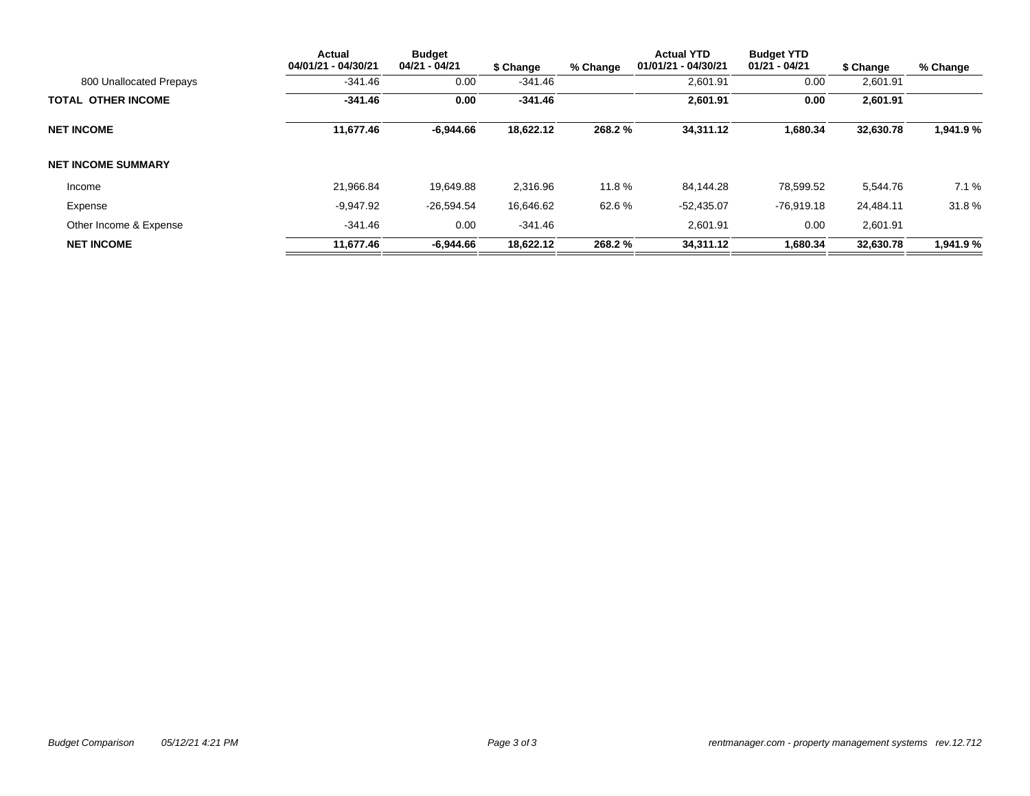|                           | <b>Actual</b><br>04/01/21 - 04/30/21 | <b>Budget</b><br>04/21 - 04/21 | \$ Change | % Change | <b>Actual YTD</b><br>01/01/21 - 04/30/21 | <b>Budget YTD</b><br>01/21 - 04/21 | \$ Change | % Change  |
|---------------------------|--------------------------------------|--------------------------------|-----------|----------|------------------------------------------|------------------------------------|-----------|-----------|
| 800 Unallocated Prepays   | $-341.46$                            | 0.00                           | $-341.46$ |          | 2,601.91                                 | 0.00                               | 2,601.91  |           |
| <b>TOTAL OTHER INCOME</b> | $-341.46$                            | 0.00                           | $-341.46$ |          | 2,601.91                                 | 0.00                               | 2,601.91  |           |
| <b>NET INCOME</b>         | 11,677.46                            | -6.944.66                      | 18,622.12 | 268.2%   | 34,311.12                                | 1,680.34                           | 32,630.78 | 1,941.9%  |
| <b>NET INCOME SUMMARY</b> |                                      |                                |           |          |                                          |                                    |           |           |
| Income                    | 21.966.84                            | 19.649.88                      | 2,316.96  | 11.8%    | 84.144.28                                | 78.599.52                          | 5,544.76  | 7.1%      |
| Expense                   | $-9,947.92$                          | $-26,594.54$                   | 16,646.62 | 62.6%    | $-52,435.07$                             | $-76.919.18$                       | 24,484.11 | 31.8%     |
| Other Income & Expense    | $-341.46$                            | 0.00                           | $-341.46$ |          | 2.601.91                                 | 0.00                               | 2.601.91  |           |
| <b>NET INCOME</b>         | 11,677.46                            | $-6.944.66$                    | 18,622.12 | 268.2%   | 34,311.12                                | 1,680.34                           | 32,630.78 | 1,941.9 % |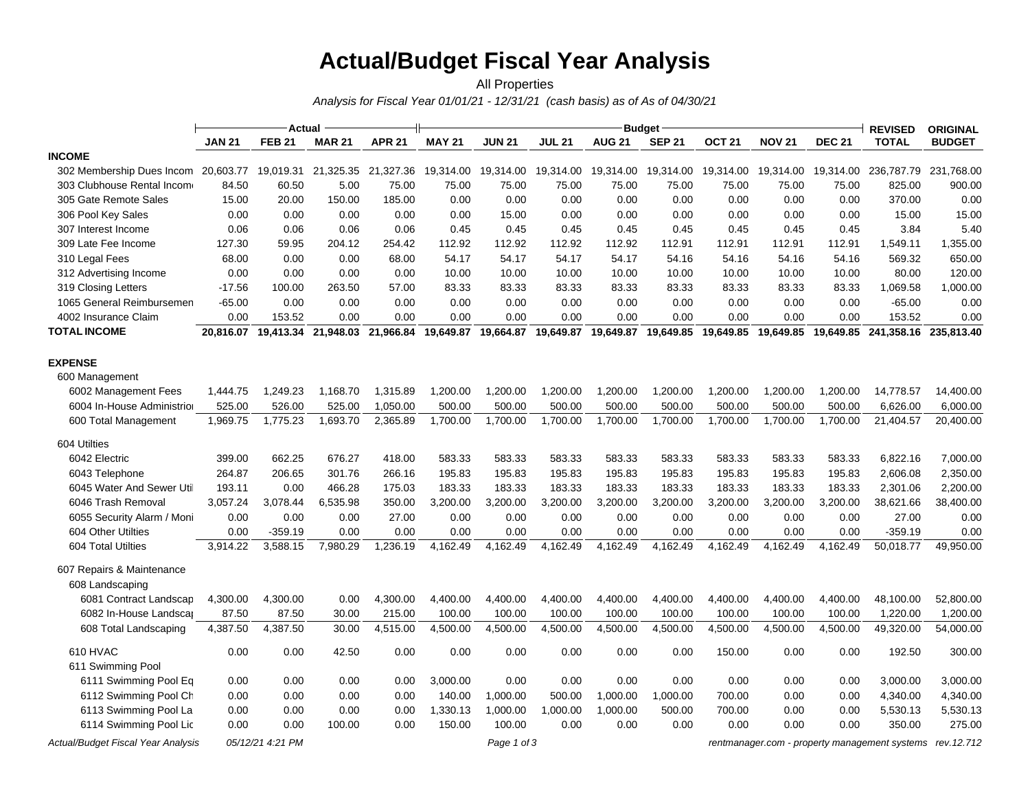## **Actual/Budget Fiscal Year Analysis**

#### *Analysis for Fiscal Year 01/01/21 - 12/31/21 (cash basis) as of As of 04/30/21* All Properties

|                                     |               | <b>Actual</b>    |                     |               |                     |               |               |                                            | <b>Budget</b> |               |               |               | <b>REVISED</b>                                | <b>ORIGINAL</b> |
|-------------------------------------|---------------|------------------|---------------------|---------------|---------------------|---------------|---------------|--------------------------------------------|---------------|---------------|---------------|---------------|-----------------------------------------------|-----------------|
|                                     | <b>JAN 21</b> | <b>FEB 21</b>    | <b>MAR 21</b>       | <b>APR 21</b> | <b>MAY 21</b>       | <b>JUN 21</b> | <b>JUL 21</b> | <b>AUG 21</b>                              | <b>SEP 21</b> | <b>OCT 21</b> | <b>NOV 21</b> | <b>DEC 21</b> | <b>TOTAL</b>                                  | <b>BUDGET</b>   |
| <b>INCOME</b>                       |               |                  |                     |               |                     |               |               |                                            |               |               |               |               |                                               |                 |
| 302 Membership Dues Incom 20,603.77 |               | 19,019.31        | 21,325.35           |               | 21,327.36 19,314.00 | 19,314.00     | 19,314.00     | 19,314.00                                  | 19,314.00     | 19,314.00     | 19,314.00     | 19,314.00     | 236,787.79                                    | 231,768.00      |
| 303 Clubhouse Rental Income         | 84.50         | 60.50            | 5.00                | 75.00         | 75.00               | 75.00         | 75.00         | 75.00                                      | 75.00         | 75.00         | 75.00         | 75.00         | 825.00                                        | 900.00          |
| 305 Gate Remote Sales               | 15.00         | 20.00            | 150.00              | 185.00        | 0.00                | 0.00          | 0.00          | 0.00                                       | 0.00          | 0.00          | 0.00          | 0.00          | 370.00                                        | 0.00            |
| 306 Pool Key Sales                  | 0.00          | 0.00             | 0.00                | 0.00          | 0.00                | 15.00         | 0.00          | 0.00                                       | 0.00          | 0.00          | 0.00          | 0.00          | 15.00                                         | 15.00           |
| 307 Interest Income                 | 0.06          | 0.06             | 0.06                | 0.06          | 0.45                | 0.45          | 0.45          | 0.45                                       | 0.45          | 0.45          | 0.45          | 0.45          | 3.84                                          | 5.40            |
| 309 Late Fee Income                 | 127.30        | 59.95            | 204.12              | 254.42        | 112.92              | 112.92        | 112.92        | 112.92                                     | 112.91        | 112.91        | 112.91        | 112.91        | 1,549.11                                      | 1,355.00        |
| 310 Legal Fees                      | 68.00         | 0.00             | 0.00                | 68.00         | 54.17               | 54.17         | 54.17         | 54.17                                      | 54.16         | 54.16         | 54.16         | 54.16         | 569.32                                        | 650.00          |
| 312 Advertising Income              | 0.00          | 0.00             | 0.00                | 0.00          | 10.00               | 10.00         | 10.00         | 10.00                                      | 10.00         | 10.00         | 10.00         | 10.00         | 80.00                                         | 120.00          |
| 319 Closing Letters                 | $-17.56$      | 100.00           | 263.50              | 57.00         | 83.33               | 83.33         | 83.33         | 83.33                                      | 83.33         | 83.33         | 83.33         | 83.33         | 1,069.58                                      | 1,000.00        |
| 1065 General Reimbursemen           | $-65.00$      | 0.00             | 0.00                | 0.00          | 0.00                | 0.00          | 0.00          | 0.00                                       | 0.00          | 0.00          | 0.00          | 0.00          | $-65.00$                                      | 0.00            |
| 4002 Insurance Claim                | 0.00          | 153.52           | 0.00                | 0.00          | 0.00                | 0.00          | 0.00          | 0.00                                       | 0.00          | 0.00          | 0.00          | 0.00          | 153.52                                        | 0.00            |
| <b>TOTAL INCOME</b>                 | 20,816.07     |                  | 19,413.34 21,948.03 |               | 21,966.84 19,649.87 |               |               | 19,664.87  19,649.87  19,649.87  19,649.85 |               | 19,649.85     |               |               | 19,649.85  19,649.85  241,358.16              | 235,813.40      |
| <b>EXPENSE</b>                      |               |                  |                     |               |                     |               |               |                                            |               |               |               |               |                                               |                 |
| 600 Management                      |               |                  |                     |               |                     |               |               |                                            |               |               |               |               |                                               |                 |
| 6002 Management Fees                | 1,444.75      | 1,249.23         | 1,168.70            | 1,315.89      | 1,200.00            | 1,200.00      | 1,200.00      | 1,200.00                                   | 1,200.00      | 1,200.00      | 1,200.00      | 1,200.00      | 14,778.57                                     | 14,400.00       |
| 6004 In-House Administrior          | 525.00        | 526.00           | 525.00              | 1,050.00      | 500.00              | 500.00        | 500.00        | 500.00                                     | 500.00        | 500.00        | 500.00        | 500.00        | 6,626.00                                      | 6,000.00        |
| 600 Total Management                | 1,969.75      | 1,775.23         | 1,693.70            | 2,365.89      | 1,700.00            | 1,700.00      | 1,700.00      | 1,700.00                                   | 1,700.00      | 1,700.00      | 1,700.00      | 1,700.00      | 21,404.57                                     | 20,400.00       |
| 604 Utilties                        |               |                  |                     |               |                     |               |               |                                            |               |               |               |               |                                               |                 |
| 6042 Electric                       | 399.00        | 662.25           | 676.27              | 418.00        | 583.33              | 583.33        | 583.33        | 583.33                                     | 583.33        | 583.33        | 583.33        | 583.33        | 6,822.16                                      | 7,000.00        |
| 6043 Telephone                      | 264.87        | 206.65           | 301.76              | 266.16        | 195.83              | 195.83        | 195.83        | 195.83                                     | 195.83        | 195.83        | 195.83        | 195.83        | 2,606.08                                      | 2,350.00        |
| 6045 Water And Sewer Util           | 193.11        | 0.00             | 466.28              | 175.03        | 183.33              | 183.33        | 183.33        | 183.33                                     | 183.33        | 183.33        | 183.33        | 183.33        | 2,301.06                                      | 2,200.00        |
| 6046 Trash Removal                  | 3,057.24      | 3,078.44         | 6,535.98            | 350.00        | 3,200.00            | 3,200.00      | 3,200.00      | 3,200.00                                   | 3,200.00      | 3,200.00      | 3,200.00      | 3,200.00      | 38,621.66                                     | 38,400.00       |
| 6055 Security Alarm / Moni          | 0.00          | 0.00             | 0.00                | 27.00         | 0.00                | 0.00          | 0.00          | 0.00                                       | 0.00          | 0.00          | 0.00          | 0.00          | 27.00                                         | 0.00            |
| 604 Other Utilties                  | 0.00          | $-359.19$        | 0.00                | 0.00          | 0.00                | 0.00          | 0.00          | 0.00                                       | 0.00          | 0.00          | 0.00          | 0.00          | $-359.19$                                     | 0.00            |
| 604 Total Utilties                  | 3,914.22      | 3.588.15         | 7.980.29            | 1.236.19      | 4.162.49            | 4.162.49      | 4.162.49      | 4.162.49                                   | 4.162.49      | 4.162.49      | 4.162.49      | 4.162.49      | 50.018.77                                     | 49,950.00       |
| 607 Repairs & Maintenance           |               |                  |                     |               |                     |               |               |                                            |               |               |               |               |                                               |                 |
| 608 Landscaping                     |               |                  |                     |               |                     |               |               |                                            |               |               |               |               |                                               |                 |
| 6081 Contract Landscap              | 4,300.00      | 4,300.00         | 0.00                | 4,300.00      | 4,400.00            | 4,400.00      | 4,400.00      | 4,400.00                                   | 4,400.00      | 4,400.00      | 4,400.00      | 4,400.00      | 48,100.00                                     | 52,800.00       |
| 6082 In-House Landscar              | 87.50         | 87.50            | 30.00               | 215.00        | 100.00              | 100.00        | 100.00        | 100.00                                     | 100.00        | 100.00        | 100.00        | 100.00        | 1,220.00                                      | 1,200.00        |
| 608 Total Landscaping               | 4,387.50      | 4.387.50         | 30.00               | 4.515.00      | 4,500.00            | 4,500.00      | 4.500.00      | 4,500.00                                   | 4,500.00      | 4,500.00      | 4,500.00      | 4.500.00      | 49,320.00                                     | 54,000.00       |
| 610 HVAC                            | 0.00          | 0.00             | 42.50               | 0.00          | 0.00                | 0.00          | 0.00          | 0.00                                       | 0.00          | 150.00        | 0.00          | 0.00          | 192.50                                        | 300.00          |
| 611 Swimming Pool                   |               |                  |                     |               |                     |               |               |                                            |               |               |               |               |                                               |                 |
| 6111 Swimming Pool Eq               | 0.00          | 0.00             | 0.00                | 0.00          | 3,000.00            | 0.00          | 0.00          | 0.00                                       | 0.00          | 0.00          | 0.00          | 0.00          | 3.000.00                                      | 3,000.00        |
| 6112 Swimming Pool Ch               | 0.00          | 0.00             | 0.00                | 0.00          | 140.00              | 1,000.00      | 500.00        | 1,000.00                                   | 1,000.00      | 700.00        | 0.00          | 0.00          | 4,340.00                                      | 4,340.00        |
| 6113 Swimming Pool La               | 0.00          | 0.00             | 0.00                | 0.00          | 1,330.13            | 1,000.00      | 1,000.00      | 1,000.00                                   | 500.00        | 700.00        | 0.00          | 0.00          | 5,530.13                                      | 5,530.13        |
| 6114 Swimming Pool Lic              | 0.00          | 0.00             | 100.00              | 0.00          | 150.00              | 100.00        | 0.00          | 0.00                                       | 0.00          | 0.00          | 0.00          | 0.00          | 350.00                                        | 275.00          |
| Actual/Budget Fiscal Year Analysis  |               | 05/12/21 4:21 PM |                     |               |                     | Page 1 of 3   |               |                                            |               |               |               |               | rentmanager.com - property management systems | rev.12.712      |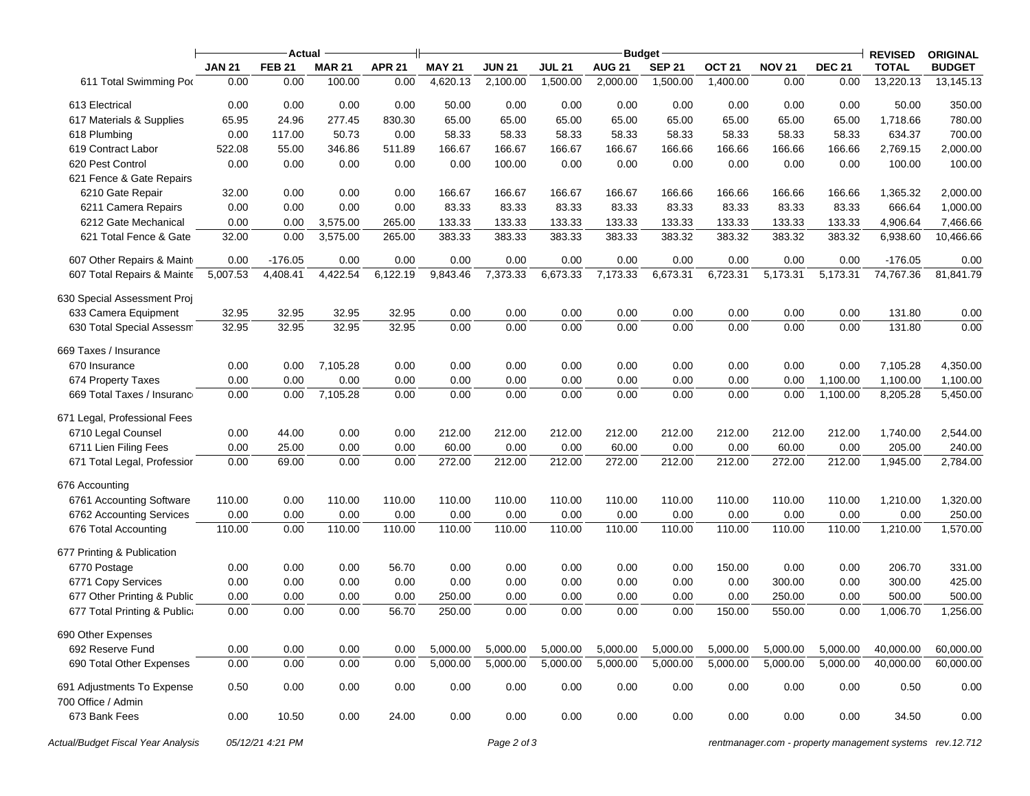|                                                  |               | Actual           |               |               |               |               |               | <b>Budget</b> |               |                   |               |               | <b>REVISED</b>                                           | <b>ORIGINAL</b> |
|--------------------------------------------------|---------------|------------------|---------------|---------------|---------------|---------------|---------------|---------------|---------------|-------------------|---------------|---------------|----------------------------------------------------------|-----------------|
|                                                  | <b>JAN 21</b> | <b>FEB 21</b>    | <b>MAR 21</b> | <b>APR 21</b> | <b>MAY 21</b> | <b>JUN 21</b> | <b>JUL 21</b> | <b>AUG 21</b> | <b>SEP 21</b> | OCT <sub>21</sub> | <b>NOV 21</b> | <b>DEC 21</b> | <b>TOTAL</b>                                             | <b>BUDGET</b>   |
| 611 Total Swimming Por                           | 0.00          | 0.00             | 100.00        | 0.00          | 4,620.13      | 2,100.00      | 1,500.00      | 2,000.00      | 1,500.00      | 1,400.00          | 0.00          | 0.00          | 13,220.13                                                | 13,145.13       |
| 613 Electrical                                   | 0.00          | 0.00             | 0.00          | 0.00          | 50.00         | 0.00          | 0.00          | 0.00          | 0.00          | 0.00              | 0.00          | 0.00          | 50.00                                                    | 350.00          |
| 617 Materials & Supplies                         | 65.95         | 24.96            | 277.45        | 830.30        | 65.00         | 65.00         | 65.00         | 65.00         | 65.00         | 65.00             | 65.00         | 65.00         | 1,718.66                                                 | 780.00          |
| 618 Plumbing                                     | 0.00          | 117.00           | 50.73         | 0.00          | 58.33         | 58.33         | 58.33         | 58.33         | 58.33         | 58.33             | 58.33         | 58.33         | 634.37                                                   | 700.00          |
| 619 Contract Labor                               | 522.08        | 55.00            | 346.86        | 511.89        | 166.67        | 166.67        | 166.67        | 166.67        | 166.66        | 166.66            | 166.66        | 166.66        | 2,769.15                                                 | 2,000.00        |
| 620 Pest Control                                 | 0.00          | 0.00             | 0.00          | 0.00          | 0.00          | 100.00        | 0.00          | 0.00          | 0.00          | 0.00              | 0.00          | 0.00          | 100.00                                                   | 100.00          |
| 621 Fence & Gate Repairs                         |               |                  |               |               |               |               |               |               |               |                   |               |               |                                                          |                 |
| 6210 Gate Repair                                 | 32.00         | 0.00             | 0.00          | 0.00          | 166.67        | 166.67        | 166.67        | 166.67        | 166.66        | 166.66            | 166.66        | 166.66        | 1,365.32                                                 | 2,000.00        |
| 6211 Camera Repairs                              | 0.00          | 0.00             | 0.00          | 0.00          | 83.33         | 83.33         | 83.33         | 83.33         | 83.33         | 83.33             | 83.33         | 83.33         | 666.64                                                   | 1,000.00        |
| 6212 Gate Mechanical                             | 0.00          | 0.00             | 3,575.00      | 265.00        | 133.33        | 133.33        | 133.33        | 133.33        | 133.33        | 133.33            | 133.33        | 133.33        | 4,906.64                                                 | 7,466.66        |
| 621 Total Fence & Gate                           | 32.00         | 0.00             | 3,575.00      | 265.00        | 383.33        | 383.33        | 383.33        | 383.33        | 383.32        | 383.32            | 383.32        | 383.32        | 6,938.60                                                 | 10,466.66       |
| 607 Other Repairs & Maint                        | 0.00          | $-176.05$        | 0.00          | 0.00          | 0.00          | 0.00          | 0.00          | 0.00          | 0.00          | 0.00              | 0.00          | 0.00          | $-176.05$                                                | 0.00            |
| 607 Total Repairs & Mainte                       | 5,007.53      | 4,408.41         | 4,422.54      | 6,122.19      | 9,843.46      | 7,373.33      | 6,673.33      | 7,173.33      | 6,673.31      | 6,723.31          | 5,173.31      | 5,173.31      | 74,767.36                                                | 81,841.79       |
| 630 Special Assessment Proj                      |               |                  |               |               |               |               |               |               |               |                   |               |               |                                                          |                 |
| 633 Camera Equipment                             | 32.95         | 32.95            | 32.95         | 32.95         | 0.00          | 0.00          | 0.00          | 0.00          | 0.00          | 0.00              | 0.00          | 0.00          | 131.80                                                   | 0.00            |
| 630 Total Special Assessm                        | 32.95         | 32.95            | 32.95         | 32.95         | 0.00          | 0.00          | 0.00          | 0.00          | 0.00          | 0.00              | 0.00          | 0.00          | 131.80                                                   | 0.00            |
| 669 Taxes / Insurance                            |               |                  |               |               |               |               |               |               |               |                   |               |               |                                                          |                 |
| 670 Insurance                                    | 0.00          | 0.00             | 7,105.28      | 0.00          | 0.00          | 0.00          | 0.00          | 0.00          | 0.00          | 0.00              | 0.00          | 0.00          | 7,105.28                                                 | 4,350.00        |
| 674 Property Taxes                               | 0.00          | 0.00             | 0.00          | 0.00          | 0.00          | 0.00          | 0.00          | 0.00          | 0.00          | 0.00              | 0.00          | 1,100.00      | 1,100.00                                                 | 1,100.00        |
| 669 Total Taxes / Insurance                      | 0.00          | 0.00             | 7,105.28      | 0.00          | 0.00          | 0.00          | 0.00          | 0.00          | 0.00          | 0.00              | 0.00          | 1,100.00      | 8,205.28                                                 | 5,450.00        |
| 671 Legal, Professional Fees                     |               |                  |               |               |               |               |               |               |               |                   |               |               |                                                          |                 |
| 6710 Legal Counsel                               | 0.00          | 44.00            | 0.00          | 0.00          | 212.00        | 212.00        | 212.00        | 212.00        | 212.00        | 212.00            | 212.00        | 212.00        | 1,740.00                                                 | 2,544.00        |
| 6711 Lien Filing Fees                            | 0.00          | 25.00            | 0.00          | 0.00          | 60.00         | 0.00          | 0.00          | 60.00         | 0.00          | 0.00              | 60.00         | 0.00          | 205.00                                                   | 240.00          |
| 671 Total Legal, Professior                      | 0.00          | 69.00            | 0.00          | 0.00          | 272.00        | 212.00        | 212.00        | 272.00        | 212.00        | 212.00            | 272.00        | 212.00        | 1,945.00                                                 | 2,784.00        |
| 676 Accounting                                   |               |                  |               |               |               |               |               |               |               |                   |               |               |                                                          |                 |
| 6761 Accounting Software                         | 110.00        | 0.00             | 110.00        | 110.00        | 110.00        | 110.00        | 110.00        | 110.00        | 110.00        | 110.00            | 110.00        | 110.00        | 1,210.00                                                 | 1,320.00        |
| 6762 Accounting Services                         | 0.00          | 0.00             | 0.00          | 0.00          | 0.00          | 0.00          | 0.00          | 0.00          | 0.00          | 0.00              | 0.00          | 0.00          | 0.00                                                     | 250.00          |
| 676 Total Accounting                             | 110.00        | 0.00             | 110.00        | 110.00        | 110.00        | 110.00        | 110.00        | 110.00        | 110.00        | 110.00            | 110.00        | 110.00        | 1,210.00                                                 | 1,570.00        |
| 677 Printing & Publication                       |               |                  |               |               |               |               |               |               |               |                   |               |               |                                                          |                 |
| 6770 Postage                                     | 0.00          | 0.00             | 0.00          | 56.70         | 0.00          | 0.00          | 0.00          | 0.00          | 0.00          | 150.00            | 0.00          | 0.00          | 206.70                                                   | 331.00          |
| 6771 Copy Services                               | 0.00          | 0.00             | 0.00          | 0.00          | 0.00          | 0.00          | 0.00          | 0.00          | 0.00          | 0.00              | 300.00        | 0.00          | 300.00                                                   | 425.00          |
| 677 Other Printing & Public                      | 0.00          | 0.00             | 0.00          | 0.00          | 250.00        | 0.00          | 0.00          | 0.00          | 0.00          | 0.00              | 250.00        | 0.00          | 500.00                                                   | 500.00          |
| 677 Total Printing & Publica                     | 0.00          | 0.00             | 0.00          | 56.70         | 250.00        | 0.00          | 0.00          | 0.00          | 0.00          | 150.00            | 550.00        | 0.00          | 1,006.70                                                 | 1,256.00        |
| 690 Other Expenses                               |               |                  |               |               |               |               |               |               |               |                   |               |               |                                                          |                 |
| 692 Reserve Fund                                 | 0.00          | 0.00             | 0.00          | 0.00          | 5,000.00      | 5,000.00      | 5,000.00      | 5,000.00      | 5,000.00      | 5,000.00          | 5,000.00      | 5,000.00      | 40,000.00                                                | 60,000.00       |
| 690 Total Other Expenses                         | 0.00          | 0.00             | 0.00          | 0.00          | 5,000.00      | 5,000.00      | 5,000.00      | 5,000.00      | 5,000.00      | 5,000.00          | 5,000.00      | 5,000.00      | 40,000.00                                                | 60,000.00       |
| 691 Adjustments To Expense<br>700 Office / Admin | 0.50          | 0.00             | 0.00          | 0.00          | 0.00          | 0.00          | 0.00          | 0.00          | 0.00          | 0.00              | 0.00          | 0.00          | 0.50                                                     | 0.00            |
| 673 Bank Fees                                    | 0.00          | 10.50            | 0.00          | 24.00         | 0.00          | 0.00          | 0.00          | 0.00          | 0.00          | 0.00              | 0.00          | 0.00          | 34.50                                                    | 0.00            |
| Actual/Budget Fiscal Year Analysis               |               | 05/12/21 4:21 PM |               |               |               | Page 2 of 3   |               |               |               |                   |               |               | rentmanager.com - property management systems rev.12.712 |                 |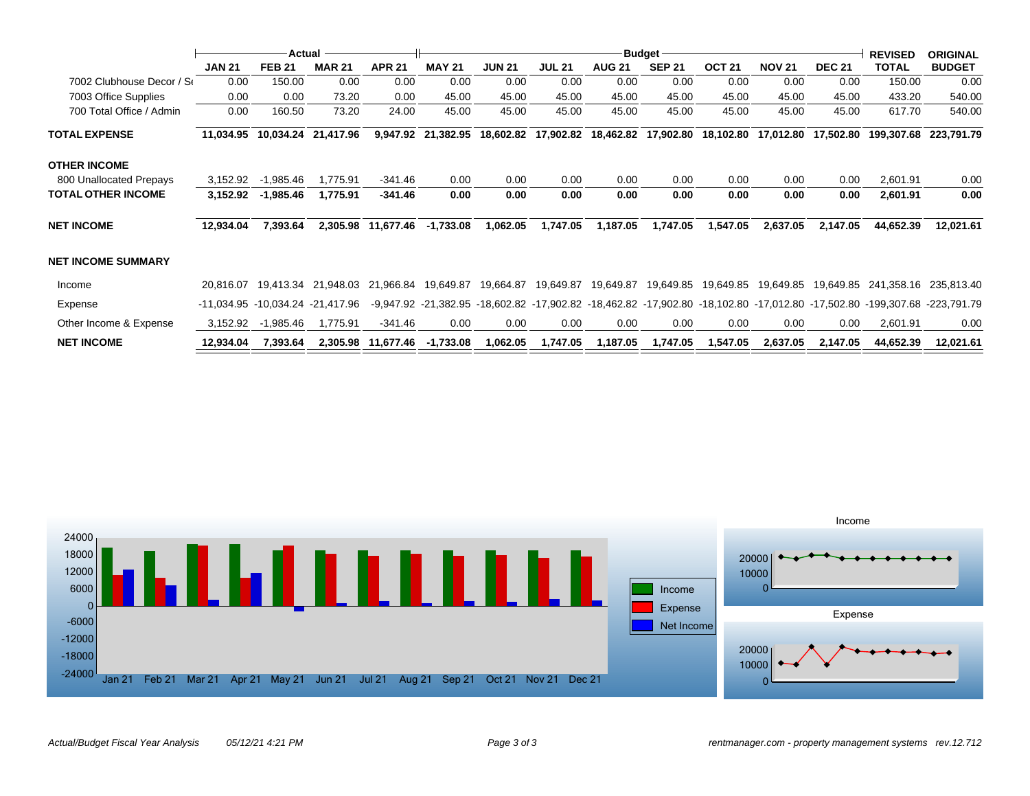|                           |               | Actual                                                |               |                    |               |               |                     |               | <b>Budget</b> |                   |               |               | <b>REVISED</b>                                                                                                            | <b>ORIGINAL</b> |
|---------------------------|---------------|-------------------------------------------------------|---------------|--------------------|---------------|---------------|---------------------|---------------|---------------|-------------------|---------------|---------------|---------------------------------------------------------------------------------------------------------------------------|-----------------|
|                           | <b>JAN 21</b> | <b>FEB 21</b>                                         | <b>MAR 21</b> | <b>APR 21</b>      | <b>MAY 21</b> | <b>JUN 21</b> | <b>JUL 21</b>       | <b>AUG 21</b> | <b>SEP 21</b> | OCT <sub>21</sub> | <b>NOV 21</b> | <b>DEC 21</b> | <b>TOTAL</b>                                                                                                              | <b>BUDGET</b>   |
| 7002 Clubhouse Decor / Se | 0.00          | 150.00                                                | 0.00          | 0.00               | 0.00          | 0.00          | 0.00                | 0.00          | 0.00          | 0.00              | 0.00          | 0.00          | 150.00                                                                                                                    | 0.00            |
| 7003 Office Supplies      | 0.00          | 0.00                                                  | 73.20         | 0.00               | 45.00         | 45.00         | 45.00               | 45.00         | 45.00         | 45.00             | 45.00         | 45.00         | 433.20                                                                                                                    | 540.00          |
| 700 Total Office / Admin  | 0.00          | 160.50                                                | 73.20         | 24.00              | 45.00         | 45.00         | 45.00               | 45.00         | 45.00         | 45.00             | 45.00         | 45.00         | 617.70                                                                                                                    | 540.00          |
| <b>TOTAL EXPENSE</b>      | 11,034.95     | 10,034.24                                             | 21,417.96     | 9,947.92           | 21,382.95     |               | 18,602.82 17,902.82 | 18,462.82     | 17,902.80     | 18,102.80         | 17,012.80     | 17,502.80     | 199,307.68                                                                                                                | 223,791.79      |
| OTHER INCOME              |               |                                                       |               |                    |               |               |                     |               |               |                   |               |               |                                                                                                                           |                 |
| 800 Unallocated Prepays   | 3,152.92      | $-1,985.46$                                           | 1,775.91      | $-341.46$          | 0.00          | 0.00          | 0.00                | 0.00          | 0.00          | 0.00              | 0.00          | 0.00          | 2,601.91                                                                                                                  | 0.00            |
| TOTAL OTHER INCOME        | 3,152.92      | $-1,985.46$                                           | 1,775.91      | $-341.46$          | 0.00          | 0.00          | 0.00                | 0.00          | 0.00          | 0.00              | 0.00          | 0.00          | 2,601.91                                                                                                                  | 0.00            |
| NET INCOME                | 12,934.04     | 7,393.64                                              | 2,305.98      | 11,677.46          | $-1,733.08$   | 1,062.05      | 1,747.05            | 1,187.05      | 1,747.05      | 1,547.05          | 2,637.05      | 2,147.05      | 44,652.39                                                                                                                 | 12,021.61       |
| NET INCOME SUMMARY        |               |                                                       |               |                    |               |               |                     |               |               |                   |               |               |                                                                                                                           |                 |
| Income                    |               | 20,816.07  19,413.34  21,948.03  21,966.84  19,649.87 |               |                    |               | 19,664.87     | 19,649.87           | 19,649.87     | 19,649.85     |                   |               |               | 241,358.16                                                                                                                | 235,813.40      |
| Expense                   |               | -11.034.95 -10.034.24 -21.417.96                      |               |                    |               |               |                     |               |               |                   |               |               | -9,947.92 -21,382.95 -18,602.82 -17,902.82 -18,462.82 -17,902.80 -18,102.80 -17,012.80 -17,502.80 -199,307.68 -223,791.79 |                 |
| Other Income & Expense    | 3,152.92      | -1,985.46                                             | 1,775.91      | $-341.46$          | 0.00          | 0.00          | 0.00                | 0.00          | 0.00          | 0.00              | 0.00          | 0.00          | 2,601.91                                                                                                                  | 0.00            |
| <b>NET INCOME</b>         | 12,934.04     | 7,393.64                                              |               | 2,305.98 11,677.46 | -1,733.08     | 1,062.05      | 1,747.05            | 1,187.05      | 1,747.05      | 1,547.05          | 2,637.05      | 2,147.05      | 44,652.39                                                                                                                 | 12,021.61       |